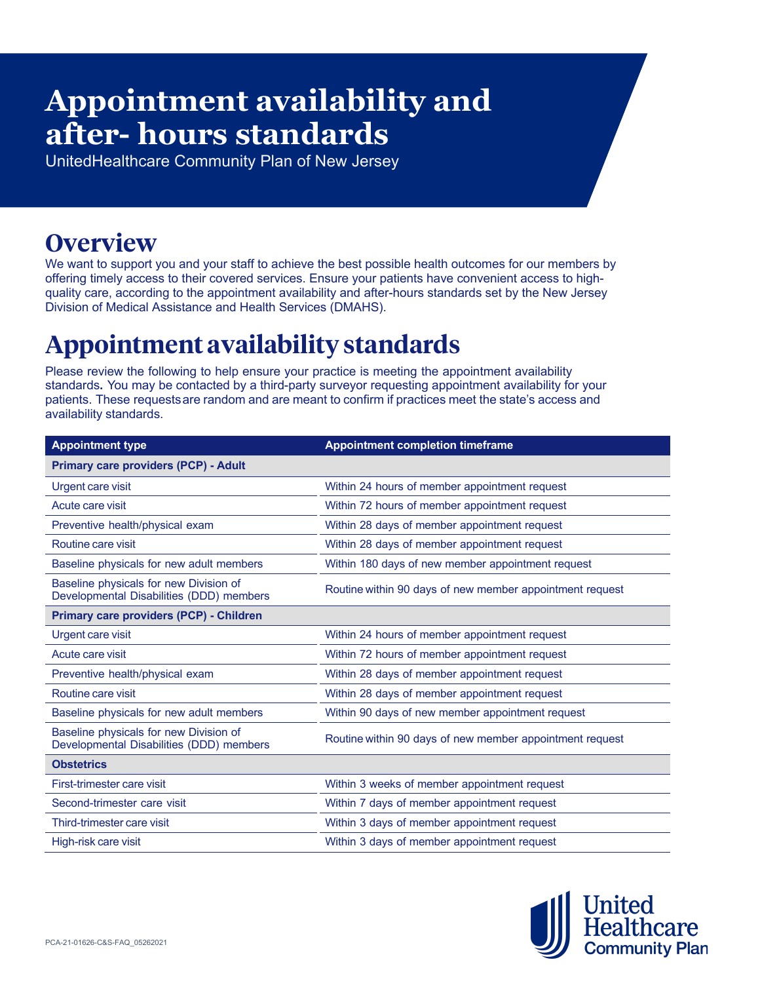# **Appointment availability and after- hours standards**

UnitedHealthcare Community Plan of New Jersey

### **Overview**

We want to support you and your staff to achieve the best possible health outcomes for our members by offering timely access to their covered services. Ensure your patients have convenient access to highquality care, according to the appointment availability and after-hours standards set by the New Jersey Division of Medical Assistance and Health Services (DMAHS).

## **Appointment availability standards**

Please review the following to help ensure your practice is meeting the appointment availability standards**.** You may be contacted by a third-party surveyor requesting appointment availability for your patients. These requests are random and are meant to confirm if practices meet the state's access and availability standards.

| <b>Appointment type</b>                                                            | <b>Appointment completion timeframe</b>                  |
|------------------------------------------------------------------------------------|----------------------------------------------------------|
| <b>Primary care providers (PCP) - Adult</b>                                        |                                                          |
| <b>Urgent care visit</b>                                                           | Within 24 hours of member appointment request            |
| Acute care visit                                                                   | Within 72 hours of member appointment request            |
| Preventive health/physical exam                                                    | Within 28 days of member appointment request             |
| Routine care visit                                                                 | Within 28 days of member appointment request             |
| Baseline physicals for new adult members                                           | Within 180 days of new member appointment request        |
| Baseline physicals for new Division of<br>Developmental Disabilities (DDD) members | Routine within 90 days of new member appointment request |
| Primary care providers (PCP) - Children                                            |                                                          |
| <b>Urgent care visit</b>                                                           | Within 24 hours of member appointment request            |
| Acute care visit                                                                   | Within 72 hours of member appointment request            |
| Preventive health/physical exam                                                    | Within 28 days of member appointment request             |
| Routine care visit                                                                 | Within 28 days of member appointment request             |
| Baseline physicals for new adult members                                           | Within 90 days of new member appointment request         |
| Baseline physicals for new Division of<br>Developmental Disabilities (DDD) members | Routine within 90 days of new member appointment request |
| <b>Obstetrics</b>                                                                  |                                                          |
| First-trimester care visit                                                         | Within 3 weeks of member appointment request             |
| Second-trimester care visit                                                        | Within 7 days of member appointment request              |
| Third-trimester care visit                                                         | Within 3 days of member appointment request              |
| High-risk care visit                                                               | Within 3 days of member appointment request              |

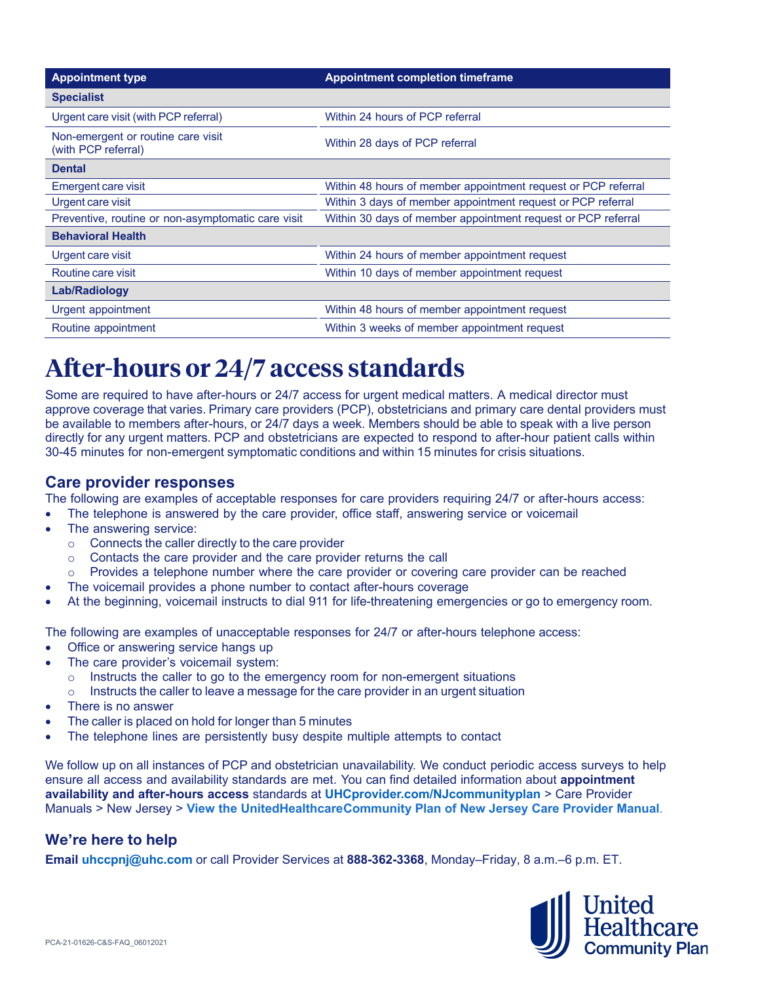| <b>Appointment type</b>                                   | <b>Appointment completion timeframe</b>                       |
|-----------------------------------------------------------|---------------------------------------------------------------|
| <b>Specialist</b>                                         |                                                               |
| Urgent care visit (with PCP referral)                     | Within 24 hours of PCP referral                               |
| Non-emergent or routine care visit<br>(with PCP referral) | Within 28 days of PCP referral                                |
| <b>Dental</b>                                             |                                                               |
| Emergent care visit                                       | Within 48 hours of member appointment request or PCP referral |
| Urgent care visit                                         | Within 3 days of member appointment request or PCP referral   |
| Preventive, routine or non-asymptomatic care visit        | Within 30 days of member appointment request or PCP referral  |
| <b>Behavioral Health</b>                                  |                                                               |
| Urgent care visit                                         | Within 24 hours of member appointment request                 |
| Routine care visit                                        | Within 10 days of member appointment request                  |
| <b>Lab/Radiology</b>                                      |                                                               |
| Urgent appointment                                        | Within 48 hours of member appointment request                 |
| Routine appointment                                       | Within 3 weeks of member appointment request                  |

### **After-hours or 24/7 access standards**

Some are required to have after-hours or 24/7 access for urgent medical matters. A medical director must approve coverage that varies. Primary care providers (PCP), obstetricians and primary care dental providers must be available to members after-hours, or 24/7 days a week. Members should be able to speak with a live person directly for any urgent matters. PCP and obstetricians are expected to respond to after-hour patient calls within 30-45 minutes for non-emergent symptomatic conditions and within 15 minutes for crisis situations.

#### **Care provider responses**

The following are examples of acceptable responses for care providers requiring 24/7 or after-hours access:

- The telephone is answered by the care provider, office staff, answering service or voicemail
- The answering service:
	- o Connects the caller directly to the care provider
	- o Contacts the care provider and the care provider returns the call
	- o Provides a telephone number where the care provider or covering care provider can be reached
	- The voicemail provides a phone number to contact after-hours coverage
- At the beginning, voicemail instructs to dial 911 for life-threatening emergencies or go to emergency room.

The following are examples of unacceptable responses for 24/7 or after-hours telephone access:

- Office or answering service hangs up
- The care provider's voicemail system:
	- $\circ$  Instructs the caller to go to the emergency room for non-emergent situations
	- $\circ$  Instructs the caller to leave a message for the care provider in an urgent situation
- There is no answer
- The caller is placed on hold for longer than 5 minutes
- The telephone lines are persistently busy despite multiple attempts to contact

We follow up on all instances of PCP and obstetrician unavailability. We conduct periodic access surveys to help ensure all access and availability standards are met. You can find detailed information about **appointment availability and after-hours access** standards at **UHCprovider.com/NJcommunityplan** > Care Provider Manuals > New Jersey > **View the UnitedHealthcareCommunity Plan of New Jersey Care Provider Manual**.

#### **We're here to help**

**Email uhccpnj@uhc.com** or call Provider Services at **888-362-3368**, Monday–Friday, 8 a.m.–6 p.m. ET.